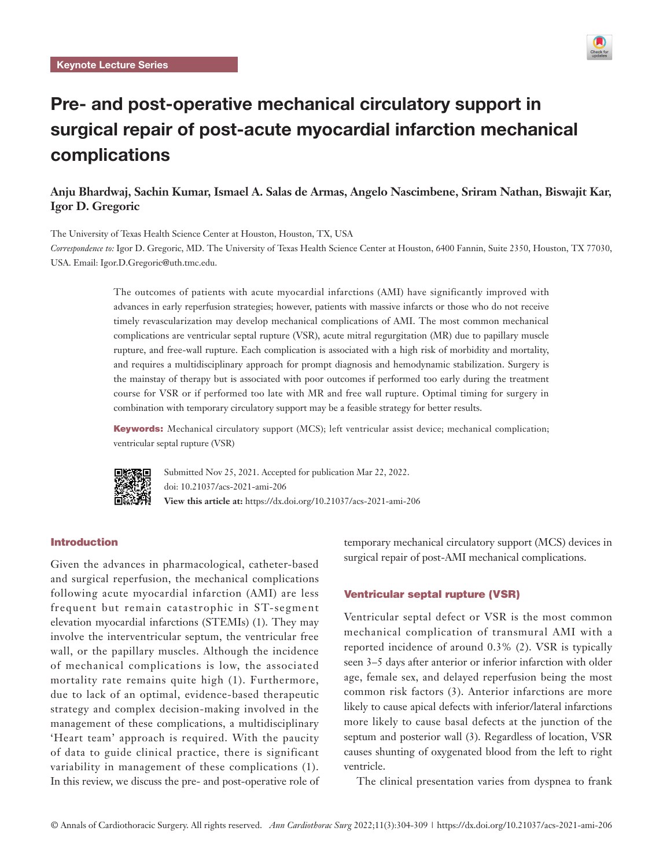

# Pre- and post-operative mechanical circulatory support in surgical repair of post-acute myocardial infarction mechanical complications

## **Anju Bhardwaj, Sachin Kumar, Ismael A. Salas de Armas, Angelo Nascimbene, Sriram Nathan, Biswajit Kar, Igor D. Gregoric**

The University of Texas Health Science Center at Houston, Houston, TX, USA

*Correspondence to:* Igor D. Gregoric, MD. The University of Texas Health Science Center at Houston, 6400 Fannin, Suite 2350, Houston, TX 77030, USA. Email: Igor.D.Gregoric@uth.tmc.edu.

> The outcomes of patients with acute myocardial infarctions (AMI) have significantly improved with advances in early reperfusion strategies; however, patients with massive infarcts or those who do not receive timely revascularization may develop mechanical complications of AMI. The most common mechanical complications are ventricular septal rupture (VSR), acute mitral regurgitation (MR) due to papillary muscle rupture, and free-wall rupture. Each complication is associated with a high risk of morbidity and mortality, and requires a multidisciplinary approach for prompt diagnosis and hemodynamic stabilization. Surgery is the mainstay of therapy but is associated with poor outcomes if performed too early during the treatment course for VSR or if performed too late with MR and free wall rupture. Optimal timing for surgery in combination with temporary circulatory support may be a feasible strategy for better results.

> Keywords: Mechanical circulatory support (MCS); left ventricular assist device; mechanical complication; ventricular septal rupture (VSR)



Submitted Nov 25, 2021. Accepted for publication Mar 22, 2022. doi: 10.21037/acs-2021-ami-206 **View this article at:** https://dx.doi.org/10.21037/acs-2021-ami-206

### Introduction

Given the advances in pharmacological, catheter-based and surgical reperfusion, the mechanical complications following acute myocardial infarction (AMI) are less frequent but remain catastrophic in ST-segment elevation myocardial infarctions (STEMIs) (1). They may involve the interventricular septum, the ventricular free wall, or the papillary muscles. Although the incidence of mechanical complications is low, the associated mortality rate remains quite high (1). Furthermore, due to lack of an optimal, evidence-based therapeutic strategy and complex decision-making involved in the management of these complications, a multidisciplinary 'Heart team' approach is required. With the paucity of data to guide clinical practice, there is significant variability in management of these complications (1). In this review, we discuss the pre- and post-operative role of temporary mechanical circulatory support (MCS) devices in surgical repair of post-AMI mechanical complications.

#### Ventricular septal rupture (VSR)

Ventricular septal defect or VSR is the most common mechanical complication of transmural AMI with a reported incidence of around 0.3% (2). VSR is typically seen 3–5 days after anterior or inferior infarction with older age, female sex, and delayed reperfusion being the most common risk factors (3). Anterior infarctions are more likely to cause apical defects with inferior/lateral infarctions more likely to cause basal defects at the junction of the septum and posterior wall (3). Regardless of location, VSR causes shunting of oxygenated blood from the left to right ventricle.

The clinical presentation varies from dyspnea to frank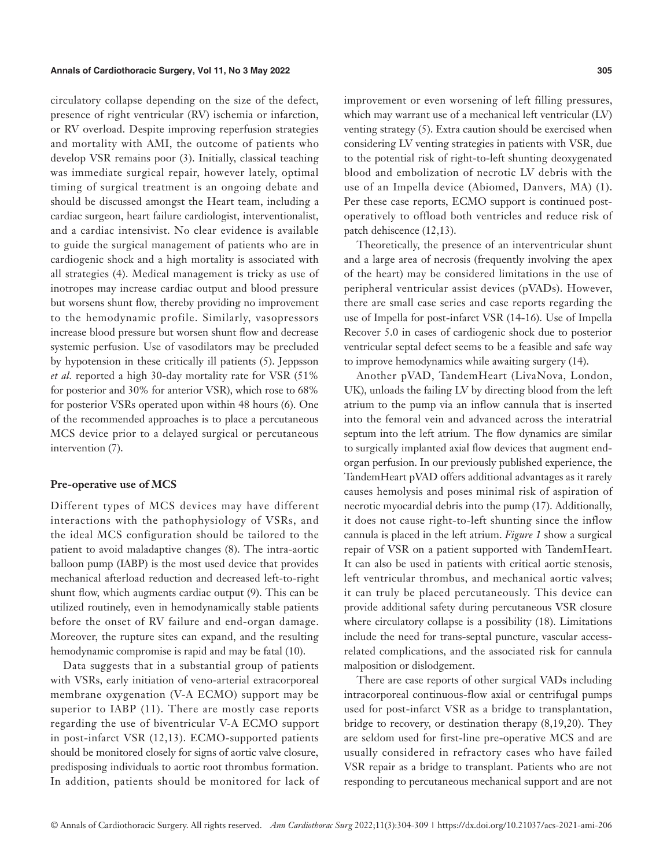circulatory collapse depending on the size of the defect, presence of right ventricular (RV) ischemia or infarction, or RV overload. Despite improving reperfusion strategies and mortality with AMI, the outcome of patients who develop VSR remains poor (3). Initially, classical teaching was immediate surgical repair, however lately, optimal timing of surgical treatment is an ongoing debate and should be discussed amongst the Heart team, including a cardiac surgeon, heart failure cardiologist, interventionalist, and a cardiac intensivist. No clear evidence is available to guide the surgical management of patients who are in cardiogenic shock and a high mortality is associated with all strategies (4). Medical management is tricky as use of inotropes may increase cardiac output and blood pressure but worsens shunt flow, thereby providing no improvement to the hemodynamic profile. Similarly, vasopressors increase blood pressure but worsen shunt flow and decrease systemic perfusion. Use of vasodilators may be precluded by hypotension in these critically ill patients (5). Jeppsson *et al.* reported a high 30-day mortality rate for VSR (51% for posterior and 30% for anterior VSR), which rose to 68% for posterior VSRs operated upon within 48 hours (6). One of the recommended approaches is to place a percutaneous MCS device prior to a delayed surgical or percutaneous intervention (7).

#### **Pre-operative use of MCS**

Different types of MCS devices may have different interactions with the pathophysiology of VSRs, and the ideal MCS configuration should be tailored to the patient to avoid maladaptive changes (8). The intra-aortic balloon pump (IABP) is the most used device that provides mechanical afterload reduction and decreased left-to-right shunt flow, which augments cardiac output (9). This can be utilized routinely, even in hemodynamically stable patients before the onset of RV failure and end-organ damage. Moreover, the rupture sites can expand, and the resulting hemodynamic compromise is rapid and may be fatal (10).

Data suggests that in a substantial group of patients with VSRs, early initiation of veno-arterial extracorporeal membrane oxygenation (V-A ECMO) support may be superior to IABP (11). There are mostly case reports regarding the use of biventricular V-A ECMO support in post-infarct VSR (12,13). ECMO-supported patients should be monitored closely for signs of aortic valve closure, predisposing individuals to aortic root thrombus formation. In addition, patients should be monitored for lack of

improvement or even worsening of left filling pressures, which may warrant use of a mechanical left ventricular (LV) venting strategy (5). Extra caution should be exercised when considering LV venting strategies in patients with VSR, due to the potential risk of right-to-left shunting deoxygenated blood and embolization of necrotic LV debris with the use of an Impella device (Abiomed, Danvers, MA) (1). Per these case reports, ECMO support is continued postoperatively to offload both ventricles and reduce risk of patch dehiscence (12,13).

Theoretically, the presence of an interventricular shunt and a large area of necrosis (frequently involving the apex of the heart) may be considered limitations in the use of peripheral ventricular assist devices (pVADs). However, there are small case series and case reports regarding the use of Impella for post-infarct VSR (14-16). Use of Impella Recover 5.0 in cases of cardiogenic shock due to posterior ventricular septal defect seems to be a feasible and safe way to improve hemodynamics while awaiting surgery (14).

Another pVAD, TandemHeart (LivaNova, London, UK), unloads the failing LV by directing blood from the left atrium to the pump via an inflow cannula that is inserted into the femoral vein and advanced across the interatrial septum into the left atrium. The flow dynamics are similar to surgically implanted axial flow devices that augment endorgan perfusion. In our previously published experience, the TandemHeart pVAD offers additional advantages as it rarely causes hemolysis and poses minimal risk of aspiration of necrotic myocardial debris into the pump (17). Additionally, it does not cause right-to-left shunting since the inflow cannula is placed in the left atrium. *Figure 1* show a surgical repair of VSR on a patient supported with TandemHeart. It can also be used in patients with critical aortic stenosis, left ventricular thrombus, and mechanical aortic valves; it can truly be placed percutaneously. This device can provide additional safety during percutaneous VSR closure where circulatory collapse is a possibility  $(18)$ . Limitations include the need for trans-septal puncture, vascular accessrelated complications, and the associated risk for cannula malposition or dislodgement.

There are case reports of other surgical VADs including intracorporeal continuous-flow axial or centrifugal pumps used for post-infarct VSR as a bridge to transplantation, bridge to recovery, or destination therapy (8,19,20). They are seldom used for first-line pre-operative MCS and are usually considered in refractory cases who have failed VSR repair as a bridge to transplant. Patients who are not responding to percutaneous mechanical support and are not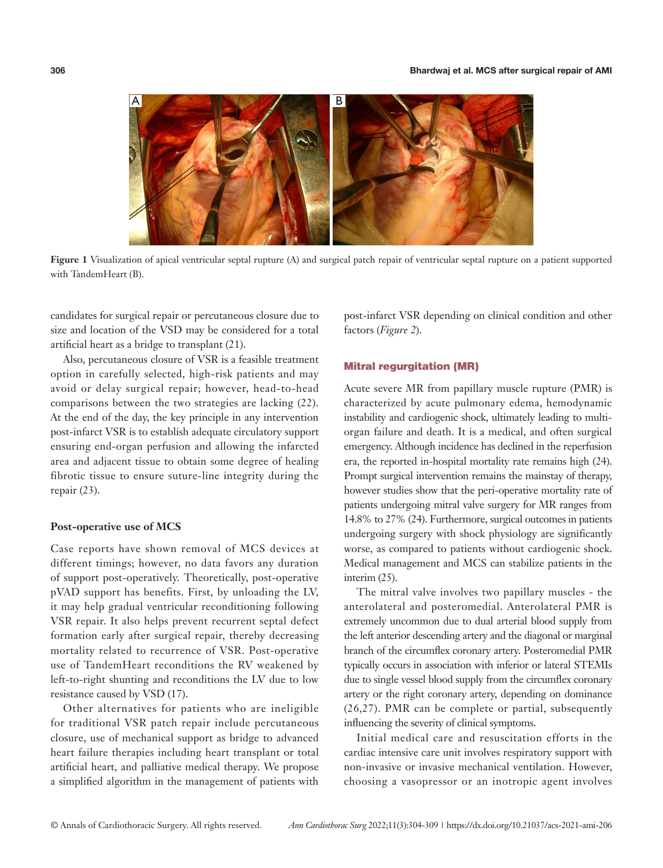

**Figure 1** Visualization of apical ventricular septal rupture (A) and surgical patch repair of ventricular septal rupture on a patient supported with TandemHeart (B).

candidates for surgical repair or percutaneous closure due to size and location of the VSD may be considered for a total artificial heart as a bridge to transplant (21).

Also, percutaneous closure of VSR is a feasible treatment option in carefully selected, high-risk patients and may avoid or delay surgical repair; however, head-to-head comparisons between the two strategies are lacking (22). At the end of the day, the key principle in any intervention post-infarct VSR is to establish adequate circulatory support ensuring end-organ perfusion and allowing the infarcted area and adjacent tissue to obtain some degree of healing fibrotic tissue to ensure suture-line integrity during the repair (23).

#### **Post-operative use of MCS**

Case reports have shown removal of MCS devices at different timings; however, no data favors any duration of support post-operatively. Theoretically, post-operative pVAD support has benefits. First, by unloading the LV, it may help gradual ventricular reconditioning following VSR repair. It also helps prevent recurrent septal defect formation early after surgical repair, thereby decreasing mortality related to recurrence of VSR. Post-operative use of TandemHeart reconditions the RV weakened by left-to-right shunting and reconditions the LV due to low resistance caused by VSD (17).

Other alternatives for patients who are ineligible for traditional VSR patch repair include percutaneous closure, use of mechanical support as bridge to advanced heart failure therapies including heart transplant or total artificial heart, and palliative medical therapy. We propose a simplified algorithm in the management of patients with

post-infarct VSR depending on clinical condition and other factors (*Figure 2*).

#### Mitral regurgitation (MR)

Acute severe MR from papillary muscle rupture (PMR) is characterized by acute pulmonary edema, hemodynamic instability and cardiogenic shock, ultimately leading to multiorgan failure and death. It is a medical, and often surgical emergency. Although incidence has declined in the reperfusion era, the reported in-hospital mortality rate remains high (24). Prompt surgical intervention remains the mainstay of therapy, however studies show that the peri-operative mortality rate of patients undergoing mitral valve surgery for MR ranges from 14.8% to 27% (24). Furthermore, surgical outcomes in patients undergoing surgery with shock physiology are significantly worse, as compared to patients without cardiogenic shock. Medical management and MCS can stabilize patients in the interim (25).

The mitral valve involves two papillary muscles - the anterolateral and posteromedial. Anterolateral PMR is extremely uncommon due to dual arterial blood supply from the left anterior descending artery and the diagonal or marginal branch of the circumflex coronary artery. Posteromedial PMR typically occurs in association with inferior or lateral STEMIs due to single vessel blood supply from the circumflex coronary artery or the right coronary artery, depending on dominance (26,27). PMR can be complete or partial, subsequently influencing the severity of clinical symptoms.

Initial medical care and resuscitation efforts in the cardiac intensive care unit involves respiratory support with non-invasive or invasive mechanical ventilation. However, choosing a vasopressor or an inotropic agent involves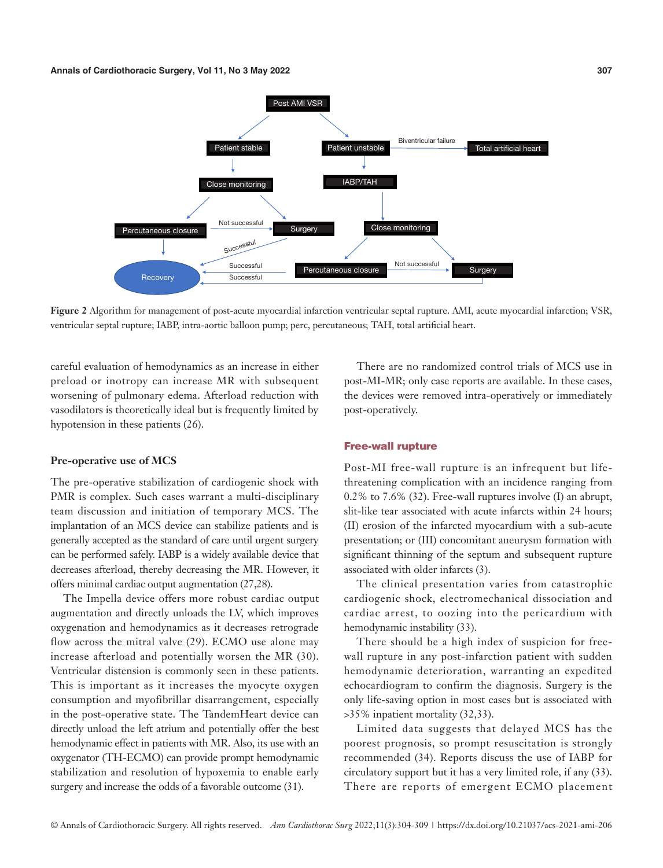

**Figure 2** Algorithm for management of post-acute myocardial infarction ventricular septal rupture. AMI, acute myocardial infarction; VSR, ventricular septal rupture; IABP, intra-aortic balloon pump; perc, percutaneous; TAH, total artificial heart.

careful evaluation of hemodynamics as an increase in either preload or inotropy can increase MR with subsequent worsening of pulmonary edema. Afterload reduction with vasodilators is theoretically ideal but is frequently limited by hypotension in these patients (26).

#### **Pre-operative use of MCS**

The pre-operative stabilization of cardiogenic shock with PMR is complex. Such cases warrant a multi-disciplinary team discussion and initiation of temporary MCS. The implantation of an MCS device can stabilize patients and is generally accepted as the standard of care until urgent surgery can be performed safely. IABP is a widely available device that decreases afterload, thereby decreasing the MR. However, it offers minimal cardiac output augmentation (27,28).

The Impella device offers more robust cardiac output augmentation and directly unloads the LV, which improves oxygenation and hemodynamics as it decreases retrograde flow across the mitral valve (29). ECMO use alone may increase afterload and potentially worsen the MR (30). Ventricular distension is commonly seen in these patients. This is important as it increases the myocyte oxygen consumption and myofibrillar disarrangement, especially in the post-operative state. The TandemHeart device can directly unload the left atrium and potentially offer the best hemodynamic effect in patients with MR. Also, its use with an oxygenator (TH-ECMO) can provide prompt hemodynamic stabilization and resolution of hypoxemia to enable early surgery and increase the odds of a favorable outcome (31).

There are no randomized control trials of MCS use in post-MI-MR; only case reports are available. In these cases, the devices were removed intra-operatively or immediately post-operatively.

#### Free-wall rupture

Post-MI free-wall rupture is an infrequent but lifethreatening complication with an incidence ranging from 0.2% to 7.6% (32). Free-wall ruptures involve (I) an abrupt, slit-like tear associated with acute infarcts within 24 hours; (II) erosion of the infarcted myocardium with a sub-acute presentation; or (III) concomitant aneurysm formation with significant thinning of the septum and subsequent rupture associated with older infarcts (3).

The clinical presentation varies from catastrophic cardiogenic shock, electromechanical dissociation and cardiac arrest, to oozing into the pericardium with hemodynamic instability (33).

There should be a high index of suspicion for freewall rupture in any post-infarction patient with sudden hemodynamic deterioration, warranting an expedited echocardiogram to confirm the diagnosis. Surgery is the only life-saving option in most cases but is associated with >35% inpatient mortality (32,33).

Limited data suggests that delayed MCS has the poorest prognosis, so prompt resuscitation is strongly recommended (34). Reports discuss the use of IABP for circulatory support but it has a very limited role, if any (33). There are reports of emergent ECMO placement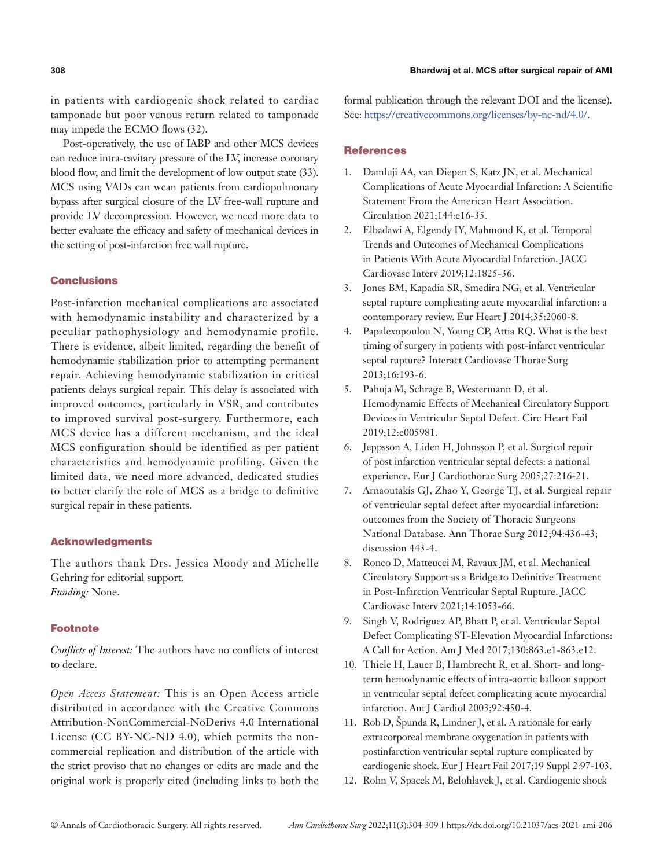in patients with cardiogenic shock related to cardiac tamponade but poor venous return related to tamponade may impede the ECMO flows (32).

Post-operatively, the use of IABP and other MCS devices can reduce intra-cavitary pressure of the LV, increase coronary blood flow, and limit the development of low output state (33). MCS using VADs can wean patients from cardiopulmonary bypass after surgical closure of the LV free-wall rupture and provide LV decompression. However, we need more data to better evaluate the efficacy and safety of mechanical devices in the setting of post-infarction free wall rupture.

#### Conclusions

Post-infarction mechanical complications are associated with hemodynamic instability and characterized by a peculiar pathophysiology and hemodynamic profile. There is evidence, albeit limited, regarding the benefit of hemodynamic stabilization prior to attempting permanent repair. Achieving hemodynamic stabilization in critical patients delays surgical repair. This delay is associated with improved outcomes, particularly in VSR, and contributes to improved survival post-surgery. Furthermore, each MCS device has a different mechanism, and the ideal MCS configuration should be identified as per patient characteristics and hemodynamic profiling. Given the limited data, we need more advanced, dedicated studies to better clarify the role of MCS as a bridge to definitive surgical repair in these patients.

#### Acknowledgments

The authors thank Drs. Jessica Moody and Michelle Gehring for editorial support. *Funding:* None.

#### Footnote

*Conflicts of Interest:* The authors have no conflicts of interest to declare.

*Open Access Statement:* This is an Open Access article distributed in accordance with the Creative Commons Attribution-NonCommercial-NoDerivs 4.0 International License (CC BY-NC-ND 4.0), which permits the noncommercial replication and distribution of the article with the strict proviso that no changes or edits are made and the original work is properly cited (including links to both the

formal publication through the relevant DOI and the license). See: [https://creativecommons.org/licenses/by-nc-nd/4.0/.](https://creativecommons.org/licenses/by-nc-nd/4.0/)

#### **References**

- 1. Damluji AA, van Diepen S, Katz JN, et al. Mechanical Complications of Acute Myocardial Infarction: A Scientific Statement From the American Heart Association. Circulation 2021;144:e16-35.
- 2. Elbadawi A, Elgendy IY, Mahmoud K, et al. Temporal Trends and Outcomes of Mechanical Complications in Patients With Acute Myocardial Infarction. JACC Cardiovasc Interv 2019;12:1825-36.
- 3. Jones BM, Kapadia SR, Smedira NG, et al. Ventricular septal rupture complicating acute myocardial infarction: a contemporary review. Eur Heart J 2014;35:2060-8.
- 4. Papalexopoulou N, Young CP, Attia RQ. What is the best timing of surgery in patients with post-infarct ventricular septal rupture? Interact Cardiovasc Thorac Surg 2013;16:193-6.
- 5. Pahuja M, Schrage B, Westermann D, et al. Hemodynamic Effects of Mechanical Circulatory Support Devices in Ventricular Septal Defect. Circ Heart Fail 2019;12:e005981.
- 6. Jeppsson A, Liden H, Johnsson P, et al. Surgical repair of post infarction ventricular septal defects: a national experience. Eur J Cardiothorac Surg 2005;27:216-21.
- 7. Arnaoutakis GJ, Zhao Y, George TJ, et al. Surgical repair of ventricular septal defect after myocardial infarction: outcomes from the Society of Thoracic Surgeons National Database. Ann Thorac Surg 2012;94:436-43; discussion 443-4.
- 8. Ronco D, Matteucci M, Ravaux JM, et al. Mechanical Circulatory Support as a Bridge to Definitive Treatment in Post-Infarction Ventricular Septal Rupture. JACC Cardiovasc Interv 2021;14:1053-66.
- 9. Singh V, Rodriguez AP, Bhatt P, et al. Ventricular Septal Defect Complicating ST-Elevation Myocardial Infarctions: A Call for Action. Am J Med 2017;130:863.e1-863.e12.
- 10. Thiele H, Lauer B, Hambrecht R, et al. Short- and longterm hemodynamic effects of intra-aortic balloon support in ventricular septal defect complicating acute myocardial infarction. Am J Cardiol 2003;92:450-4.
- 11. Rob D, Špunda R, Lindner J, et al. A rationale for early extracorporeal membrane oxygenation in patients with postinfarction ventricular septal rupture complicated by cardiogenic shock. Eur J Heart Fail 2017;19 Suppl 2:97-103.
- 12. Rohn V, Spacek M, Belohlavek J, et al. Cardiogenic shock